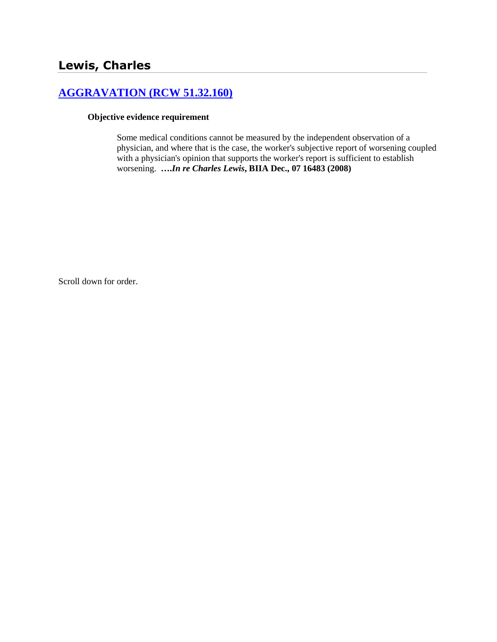# **[AGGRAVATION \(RCW 51.32.160\)](http://www.biia.wa.gov/SDSubjectIndex.html#AGGRAVATION)**

### **Objective evidence requirement**

Some medical conditions cannot be measured by the independent observation of a physician, and where that is the case, the worker's subjective report of worsening coupled with a physician's opinion that supports the worker's report is sufficient to establish worsening. **….***In re Charles Lewis***, BIIA Dec., 07 16483 (2008)**

Scroll down for order.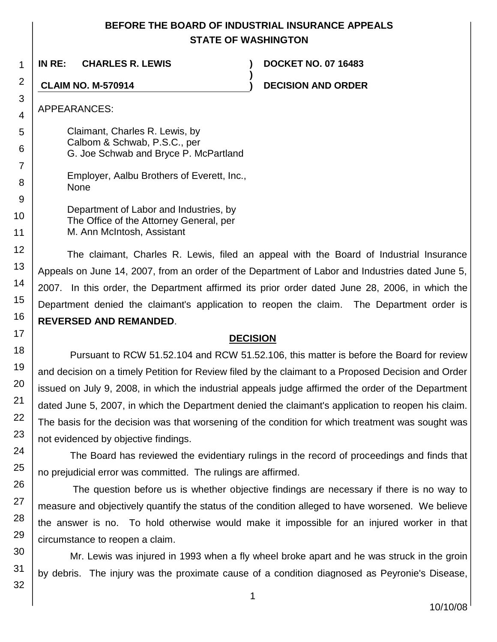## **BEFORE THE BOARD OF INDUSTRIAL INSURANCE APPEALS STATE OF WASHINGTON**

**)**

**IN RE: CHARLES R. LEWIS ) DOCKET NO. 07 16483**

**CLAIM NO. M-570914 ) DECISION AND ORDER**

APPEARANCES:

1

2

3

4

5 6

7

8

9

10

11

12

13

14

15

16

17

Claimant, Charles R. Lewis, by Calbom & Schwab, P.S.C., per G. Joe Schwab and Bryce P. McPartland

Employer, Aalbu Brothers of Everett, Inc., None

Department of Labor and Industries, by The Office of the Attorney General, per M. Ann McIntosh, Assistant

The claimant, Charles R. Lewis, filed an appeal with the Board of Industrial Insurance Appeals on June 14, 2007, from an order of the Department of Labor and Industries dated June 5, 2007. In this order, the Department affirmed its prior order dated June 28, 2006, in which the Department denied the claimant's application to reopen the claim. The Department order is **REVERSED AND REMANDED**.

## **DECISION**

Pursuant to RCW 51.52.104 and RCW 51.52.106, this matter is before the Board for review and decision on a timely Petition for Review filed by the claimant to a Proposed Decision and Order issued on July 9, 2008, in which the industrial appeals judge affirmed the order of the Department dated June 5, 2007, in which the Department denied the claimant's application to reopen his claim. The basis for the decision was that worsening of the condition for which treatment was sought was not evidenced by objective findings.

The Board has reviewed the evidentiary rulings in the record of proceedings and finds that no prejudicial error was committed. The rulings are affirmed.

The question before us is whether objective findings are necessary if there is no way to measure and objectively quantify the status of the condition alleged to have worsened. We believe the answer is no. To hold otherwise would make it impossible for an injured worker in that circumstance to reopen a claim.

Mr. Lewis was injured in 1993 when a fly wheel broke apart and he was struck in the groin by debris. The injury was the proximate cause of a condition diagnosed as Peyronie's Disease,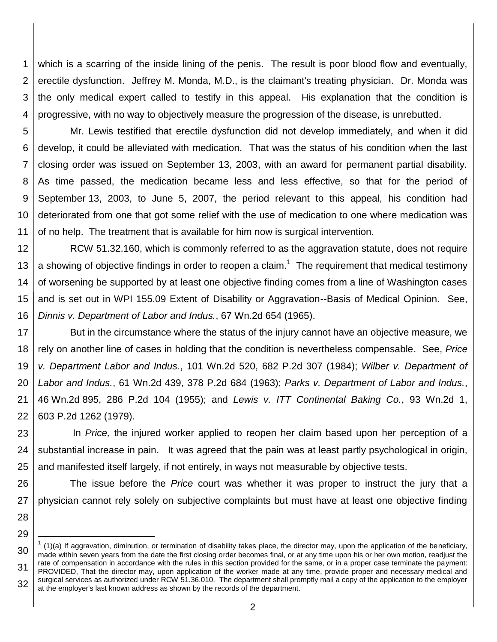1 2 3 4 which is a scarring of the inside lining of the penis. The result is poor blood flow and eventually, erectile dysfunction. Jeffrey M. Monda, M.D., is the claimant's treating physician. Dr. Monda was the only medical expert called to testify in this appeal. His explanation that the condition is progressive, with no way to objectively measure the progression of the disease, is unrebutted.

5 6 7 8 9 10 11 Mr. Lewis testified that erectile dysfunction did not develop immediately, and when it did develop, it could be alleviated with medication. That was the status of his condition when the last closing order was issued on September 13, 2003, with an award for permanent partial disability. As time passed, the medication became less and less effective, so that for the period of September 13, 2003, to June 5, 2007, the period relevant to this appeal, his condition had deteriorated from one that got some relief with the use of medication to one where medication was of no help. The treatment that is available for him now is surgical intervention.

12 13 14 15 16 RCW 51.32.160, which is commonly referred to as the aggravation statute, does not require a showing of objective findings in order to reopen a claim.<sup>1</sup> The requirement that medical testimony of worsening be supported by at least one objective finding comes from a line of Washington cases and is set out in WPI 155.09 Extent of Disability or Aggravation--Basis of Medical Opinion. See, *Dinnis v. Department of Labor and Indus.*, 67 Wn.2d 654 (1965).

17 18 19 20 21 22 But in the circumstance where the status of the injury cannot have an objective measure, we rely on another line of cases in holding that the condition is nevertheless compensable. See, *Price v. Department Labor and Indus.*, 101 Wn.2d 520, 682 P.2d 307 (1984); *Wilber v. Department of Labor and Indus.*, 61 Wn.2d 439, 378 P.2d 684 (1963); *Parks v. Department of Labor and Indus.*, 46 Wn.2d 895, 286 P.2d 104 (1955); and *Lewis v. ITT Continental Baking Co.*, 93 Wn.2d 1, 603 P.2d 1262 (1979).

23 24 25 In *Price,* the injured worker applied to reopen her claim based upon her perception of a substantial increase in pain. It was agreed that the pain was at least partly psychological in origin, and manifested itself largely, if not entirely, in ways not measurable by objective tests.

26 27 The issue before the *Price* court was whether it was proper to instruct the jury that a physician cannot rely solely on subjective complaints but must have at least one objective finding

28 29

l

<sup>30</sup> 31 32  $1$  (1)(a) If aggravation, diminution, or termination of disability takes place, the director may, upon the application of the beneficiary, made within seven years from the date the first closing order becomes final, or at any time upon his or her own motion, readjust the rate of compensation in accordance with the rules in this section provided for the same, or in a proper case terminate the payment: PROVIDED, That the director may, upon application of the worker made at any time, provide proper and necessary medical and surgical services as authorized under RCW 51.36.010. The department shall promptly mail a copy of the application to the employer at the employer's last known address as shown by the records of the department.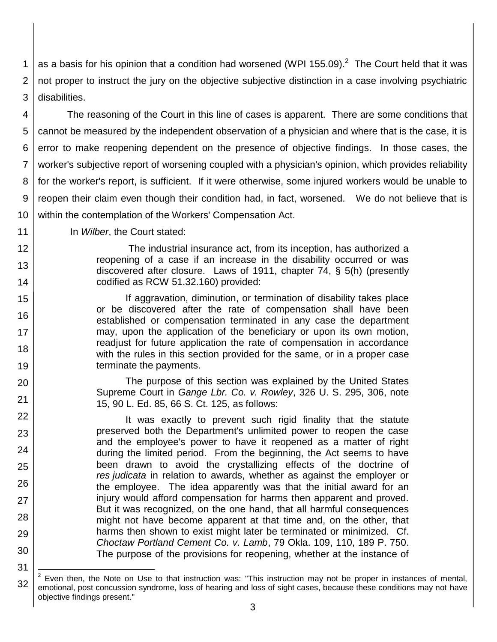1 2 3 as a basis for his opinion that a condition had worsened (WPI 155.09).<sup>2</sup> The Court held that it was not proper to instruct the jury on the objective subjective distinction in a case involving psychiatric disabilities.

4 5 6 7 8 9 10 The reasoning of the Court in this line of cases is apparent. There are some conditions that cannot be measured by the independent observation of a physician and where that is the case, it is error to make reopening dependent on the presence of objective findings. In those cases, the worker's subjective report of worsening coupled with a physician's opinion, which provides reliability for the worker's report, is sufficient. If it were otherwise, some injured workers would be unable to reopen their claim even though their condition had, in fact, worsened. We do not believe that is within the contemplation of the Workers' Compensation Act.

In *Wilber*, the Court stated:

11 12

13

14

15

16

17

18

19

20

21

22

23

24

25

26

27

28

29

30

31

The industrial insurance act, from its inception, has authorized a reopening of a case if an increase in the disability occurred or was discovered after closure. Laws of 1911, chapter 74, § 5(h) (presently codified as RCW 51.32.160) provided:

If aggravation, diminution, or termination of disability takes place or be discovered after the rate of compensation shall have been established or compensation terminated in any case the department may, upon the application of the beneficiary or upon its own motion, readjust for future application the rate of compensation in accordance with the rules in this section provided for the same, or in a proper case terminate the payments.

The purpose of this section was explained by the United States Supreme Court in *Gange Lbr. Co. v. Rowley*, 326 U. S. 295, 306, note 15, 90 L. Ed. 85, 66 S. Ct. 125, as follows:

It was exactly to prevent such rigid finality that the statute preserved both the Department's unlimited power to reopen the case and the employee's power to have it reopened as a matter of right during the limited period. From the beginning, the Act seems to have been drawn to avoid the crystallizing effects of the doctrine of *res judicata* in relation to awards, whether as against the employer or the employee. The idea apparently was that the initial award for an injury would afford compensation for harms then apparent and proved. But it was recognized, on the one hand, that all harmful consequences might not have become apparent at that time and, on the other, that harms then shown to exist might later be terminated or minimized. Cf. *Choctaw Portland Cement Co. v. Lamb*, 79 Okla. 109, 110, 189 P. 750. The purpose of the provisions for reopening, whether at the instance of

<sup>32</sup> l 2 Even then, the Note on Use to that instruction was: "This instruction may not be proper in instances of mental, emotional, post concussion syndrome, loss of hearing and loss of sight cases, because these conditions may not have objective findings present."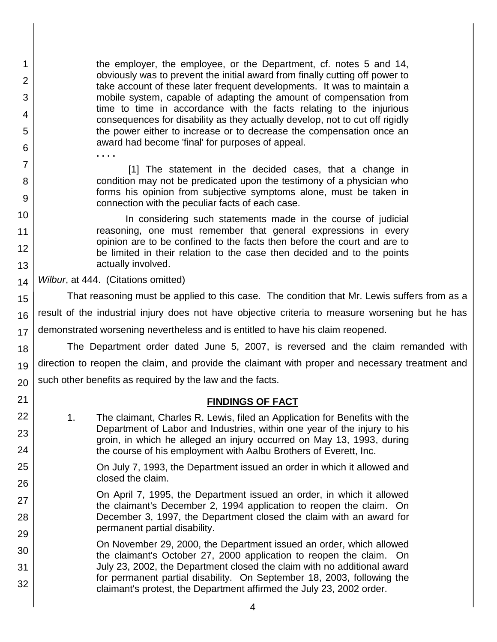the employer, the employee, or the Department, cf. notes 5 and 14, obviously was to prevent the initial award from finally cutting off power to take account of these later frequent developments. It was to maintain a mobile system, capable of adapting the amount of compensation from time to time in accordance with the facts relating to the injurious consequences for disability as they actually develop, not to cut off rigidly the power either to increase or to decrease the compensation once an award had become 'final' for purposes of appeal.

[1] The statement in the decided cases, that a change in condition may not be predicated upon the testimony of a physician who forms his opinion from subjective symptoms alone, must be taken in connection with the peculiar facts of each case.

In considering such statements made in the course of judicial reasoning, one must remember that general expressions in every opinion are to be confined to the facts then before the court and are to be limited in their relation to the case then decided and to the points actually involved.

14 *Wilbur*, at 444. (Citations omitted)

**. . . .**

1

2

3

4

5

6

7

8

9

10

11 12

13

21 22

23

24

25

26

27

28

29

15 16 17 That reasoning must be applied to this case. The condition that Mr. Lewis suffers from as a result of the industrial injury does not have objective criteria to measure worsening but he has demonstrated worsening nevertheless and is entitled to have his claim reopened.

18 19 20 The Department order dated June 5, 2007, is reversed and the claim remanded with direction to reopen the claim, and provide the claimant with proper and necessary treatment and such other benefits as required by the law and the facts.

### **FINDINGS OF FACT**

- 1. The claimant, Charles R. Lewis, filed an Application for Benefits with the Department of Labor and Industries, within one year of the injury to his groin, in which he alleged an injury occurred on May 13, 1993, during the course of his employment with Aalbu Brothers of Everett, Inc.
- On July 7, 1993, the Department issued an order in which it allowed and closed the claim.
	- On April 7, 1995, the Department issued an order, in which it allowed the claimant's December 2, 1994 application to reopen the claim. On December 3, 1997, the Department closed the claim with an award for permanent partial disability.
- 30 31 32 On November 29, 2000, the Department issued an order, which allowed the claimant's October 27, 2000 application to reopen the claim. On July 23, 2002, the Department closed the claim with no additional award for permanent partial disability. On September 18, 2003, following the claimant's protest, the Department affirmed the July 23, 2002 order.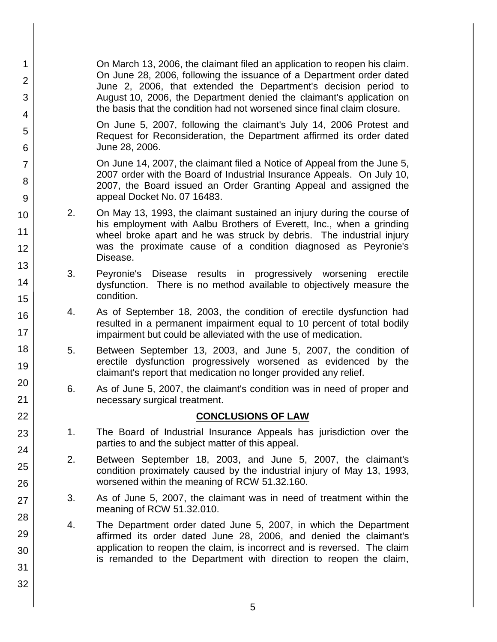| $\mathbf{1}$<br>$\overline{2}$<br>3 |                                                                                                                                                                                                                       | On March 13, 2006, the claimant filed an application to reopen his claim.<br>On June 28, 2006, following the issuance of a Department order dated<br>June 2, 2006, that extended the Department's decision period to<br>August 10, 2006, the Department denied the claimant's application on<br>the basis that the condition had not worsened since final claim closure. |  |  |
|-------------------------------------|-----------------------------------------------------------------------------------------------------------------------------------------------------------------------------------------------------------------------|--------------------------------------------------------------------------------------------------------------------------------------------------------------------------------------------------------------------------------------------------------------------------------------------------------------------------------------------------------------------------|--|--|
| 4<br>5<br>6                         |                                                                                                                                                                                                                       | On June 5, 2007, following the claimant's July 14, 2006 Protest and<br>Request for Reconsideration, the Department affirmed its order dated<br>June 28, 2006.                                                                                                                                                                                                            |  |  |
| 7<br>8<br>9                         |                                                                                                                                                                                                                       | On June 14, 2007, the claimant filed a Notice of Appeal from the June 5,<br>2007 order with the Board of Industrial Insurance Appeals. On July 10,<br>2007, the Board issued an Order Granting Appeal and assigned the<br>appeal Docket No. 07 16483.                                                                                                                    |  |  |
| 10<br>11<br>12                      | 2.                                                                                                                                                                                                                    | On May 13, 1993, the claimant sustained an injury during the course of<br>his employment with Aalbu Brothers of Everett, Inc., when a grinding<br>wheel broke apart and he was struck by debris. The industrial injury<br>was the proximate cause of a condition diagnosed as Peyronie's<br>Disease.                                                                     |  |  |
| 13<br>14<br>15                      | 3.<br>results in progressively worsening<br>Peyronie's Disease<br>erectile<br>dysfunction. There is no method available to objectively measure the<br>condition.                                                      |                                                                                                                                                                                                                                                                                                                                                                          |  |  |
| 16<br>17                            | As of September 18, 2003, the condition of erectile dysfunction had<br>4.<br>resulted in a permanent impairment equal to 10 percent of total bodily<br>impairment but could be alleviated with the use of medication. |                                                                                                                                                                                                                                                                                                                                                                          |  |  |
| 18<br>19                            | 5.<br>Between September 13, 2003, and June 5, 2007, the condition of<br>erectile dysfunction progressively worsened as evidenced by the<br>claimant's report that medication no longer provided any relief.           |                                                                                                                                                                                                                                                                                                                                                                          |  |  |
| 20<br>21                            | 6.<br>As of June 5, 2007, the claimant's condition was in need of proper and<br>necessary surgical treatment.                                                                                                         |                                                                                                                                                                                                                                                                                                                                                                          |  |  |
| 22                                  |                                                                                                                                                                                                                       | <b>CONCLUSIONS OF LAW</b>                                                                                                                                                                                                                                                                                                                                                |  |  |
| 23<br>24                            | 1.                                                                                                                                                                                                                    | The Board of Industrial Insurance Appeals has jurisdiction over the<br>parties to and the subject matter of this appeal.                                                                                                                                                                                                                                                 |  |  |
| 25                                  | 2.                                                                                                                                                                                                                    | Between September 18, 2003, and June 5, 2007, the claimant's<br>condition proximately caused by the industrial injury of May 13, 1993,<br>worsened within the meaning of RCW 51.32.160.                                                                                                                                                                                  |  |  |
| 26<br>27                            | 3.                                                                                                                                                                                                                    | As of June 5, 2007, the claimant was in need of treatment within the<br>meaning of RCW 51.32.010.                                                                                                                                                                                                                                                                        |  |  |
| 28<br>29                            | 4.                                                                                                                                                                                                                    | The Department order dated June 5, 2007, in which the Department<br>affirmed its order dated June 28, 2006, and denied the claimant's                                                                                                                                                                                                                                    |  |  |
| 30<br>31                            |                                                                                                                                                                                                                       | application to reopen the claim, is incorrect and is reversed. The claim<br>is remanded to the Department with direction to reopen the claim,                                                                                                                                                                                                                            |  |  |
| 32                                  |                                                                                                                                                                                                                       |                                                                                                                                                                                                                                                                                                                                                                          |  |  |
|                                     |                                                                                                                                                                                                                       |                                                                                                                                                                                                                                                                                                                                                                          |  |  |